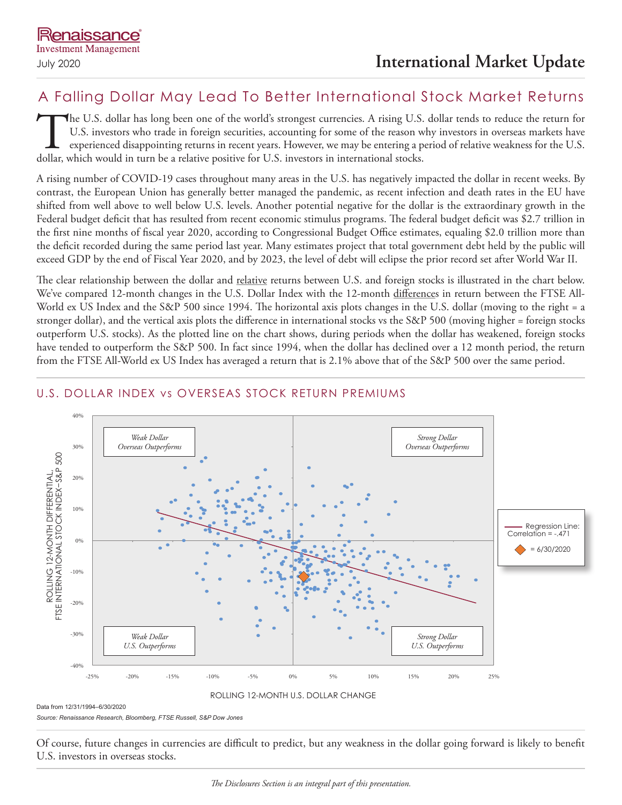# A Falling Dollar May Lead To Better International Stock Market Returns

The U.S. dollar has long been one of the world's strongest currencies. A rising U.S. dollar tends to reduce the return for U.S. investors who trade in foreign securities, accounting for some of the reason why investors in overseas markets have experienced disappointing returns in recent years. However, we may be entering a period of relative weakness for the U.S. dollar, which would in turn be a relative positive for U.S. investors in international stocks.

A rising number of COVID-19 cases throughout many areas in the U.S. has negatively impacted the dollar in recent weeks. By contrast, the European Union has generally better managed the pandemic, as recent infection and death rates in the EU have shifted from well above to well below U.S. levels. Another potential negative for the dollar is the extraordinary growth in the Federal budget deficit that has resulted from recent economic stimulus programs. The federal budget deficit was \$2.7 trillion in the first nine months of fiscal year 2020, according to Congressional Budget Office estimates, equaling \$2.0 trillion more than the deficit recorded during the same period last year. Many estimates project that total government debt held by the public will exceed GDP by the end of Fiscal Year 2020, and by 2023, the level of debt will eclipse the prior record set after World War II.

The clear relationship between the dollar and relative returns between U.S. and foreign stocks is illustrated in the chart below. We've compared 12-month changes in the U.S. Dollar Index with the 12-month differences in return between the FTSE All-World ex US Index and the S&P 500 since 1994. The horizontal axis plots changes in the U.S. dollar (moving to the right = a stronger dollar), and the vertical axis plots the difference in international stocks vs the S&P 500 (moving higher = foreign stocks outperform U.S. stocks). As the plotted line on the chart shows, during periods when the dollar has weakened, foreign stocks have tended to outperform the S&P 500. In fact since 1994, when the dollar has declined over a 12 month period, the return from the FTSE All-World ex US Index has averaged a return that is 2.1% above that of the S&P 500 over the same period.



## U.S. DOLLAR INDEX vs OVERSEAS STOCK RETURN PREMIUMS

Data from 12/31/1994–6/30/2020

*Source: Renaissance Research, Bloomberg, FTSE Russell, S&P Dow Jones*

Of course, future changes in currencies are difficult to predict, but any weakness in the dollar going forward is likely to benefit U.S. investors in overseas stocks.